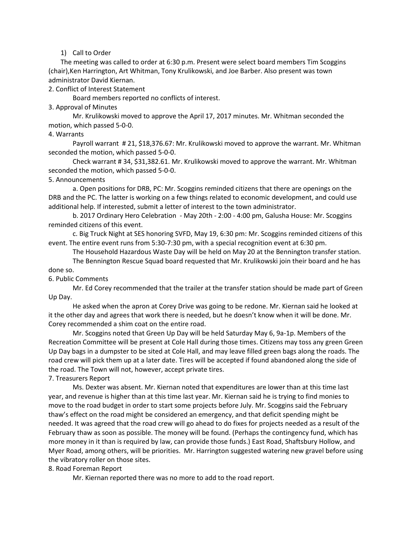### 1) Call to Order

The meeting was called to order at 6:30 p.m. Present were select board members Tim Scoggins (chair),Ken Harrington, Art Whitman, Tony Krulikowski, and Joe Barber. Also present was town administrator David Kiernan.

2. Conflict of Interest Statement

Board members reported no conflicts of interest.

3. Approval of Minutes

Mr. Krulikowski moved to approve the April 17, 2017 minutes. Mr. Whitman seconded the motion, which passed 5-0-0.

### 4. Warrants

Payroll warrant # 21, \$18,376.67: Mr. Krulikowski moved to approve the warrant. Mr. Whitman seconded the motion, which passed 5-0-0.

Check warrant # 34, \$31,382.61. Mr. Krulikowski moved to approve the warrant. Mr. Whitman seconded the motion, which passed 5-0-0.

### 5. Announcements

a. Open positions for DRB, PC: Mr. Scoggins reminded citizens that there are openings on the DRB and the PC. The latter is working on a few things related to economic development, and could use additional help. If interested, submit a letter of interest to the town administrator.

b. 2017 Ordinary Hero Celebration - May 20th - 2:00 - 4:00 pm, Galusha House: Mr. Scoggins reminded citizens of this event.

c. Big Truck Night at SES honoring SVFD, May 19, 6:30 pm: Mr. Scoggins reminded citizens of this event. The entire event runs from 5:30-7:30 pm, with a special recognition event at 6:30 pm.

The Household Hazardous Waste Day will be held on May 20 at the Bennington transfer station.

The Bennington Rescue Squad board requested that Mr. Krulikowski join their board and he has done so.

### 6. Public Comments

Mr. Ed Corey recommended that the trailer at the transfer station should be made part of Green Up Day.

He asked when the apron at Corey Drive was going to be redone. Mr. Kiernan said he looked at it the other day and agrees that work there is needed, but he doesn't know when it will be done. Mr. Corey recommended a shim coat on the entire road.

Mr. Scoggins noted that Green Up Day will be held Saturday May 6, 9a-1p. Members of the Recreation Committee will be present at Cole Hall during those times. Citizens may toss any green Green Up Day bags in a dumpster to be sited at Cole Hall, and may leave filled green bags along the roads. The road crew will pick them up at a later date. Tires will be accepted if found abandoned along the side of the road. The Town will not, however, accept private tires.

# 7. Treasurers Report

Ms. Dexter was absent. Mr. Kiernan noted that expenditures are lower than at this time last year, and revenue is higher than at this time last year. Mr. Kiernan said he is trying to find monies to move to the road budget in order to start some projects before July. Mr. Scoggins said the February thaw's effect on the road might be considered an emergency, and that deficit spending might be needed. It was agreed that the road crew will go ahead to do fixes for projects needed as a result of the February thaw as soon as possible. The money will be found. (Perhaps the contingency fund, which has more money in it than is required by law, can provide those funds.) East Road, Shaftsbury Hollow, and Myer Road, among others, will be priorities. Mr. Harrington suggested watering new gravel before using the vibratory roller on those sites.

# 8. Road Foreman Report

Mr. Kiernan reported there was no more to add to the road report.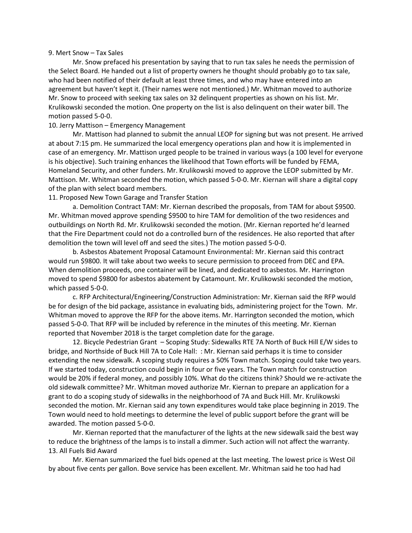#### 9. Mert Snow – Tax Sales

Mr. Snow prefaced his presentation by saying that to run tax sales he needs the permission of the Select Board. He handed out a list of property owners he thought should probably go to tax sale, who had been notified of their default at least three times, and who may have entered into an agreement but haven't kept it. (Their names were not mentioned.) Mr. Whitman moved to authorize Mr. Snow to proceed with seeking tax sales on 32 delinquent properties as shown on his list. Mr. Krulikowski seconded the motion. One property on the list is also delinquent on their water bill. The motion passed 5-0-0.

### 10. Jerry Mattison – Emergency Management

Mr. Mattison had planned to submit the annual LEOP for signing but was not present. He arrived at about 7:15 pm. He summarized the local emergency operations plan and how it is implemented in case of an emergency. Mr. Mattison urged people to be trained in various ways (a 100 level for everyone is his objective). Such training enhances the likelihood that Town efforts will be funded by FEMA, Homeland Security, and other funders. Mr. Krulikowski moved to approve the LEOP submitted by Mr. Mattison. Mr. Whitman seconded the motion, which passed 5-0-0. Mr. Kiernan will share a digital copy of the plan with select board members.

11. Proposed New Town Garage and Transfer Station

a. Demolition Contract TAM: Mr. Kiernan described the proposals, from TAM for about \$9500. Mr. Whitman moved approve spending \$9500 to hire TAM for demolition of the two residences and outbuildings on North Rd. Mr. Krulikowski seconded the motion. (Mr. Kiernan reported he'd learned that the Fire Department could not do a controlled burn of the residences. He also reported that after demolition the town will level off and seed the sites.) The motion passed 5-0-0.

b. Asbestos Abatement Proposal Catamount Environmental: Mr. Kiernan said this contract would run \$9800. It will take about two weeks to secure permission to proceed from DEC and EPA. When demolition proceeds, one container will be lined, and dedicated to asbestos. Mr. Harrington moved to spend \$9800 for asbestos abatement by Catamount. Mr. Krulikowski seconded the motion, which passed 5-0-0.

c. RFP Architectural/Engineering/Construction Administration: Mr. Kiernan said the RFP would be for design of the bid package, assistance in evaluating bids, administering project for the Town. Mr. Whitman moved to approve the RFP for the above items. Mr. Harrington seconded the motion, which passed 5-0-0. That RFP will be included by reference in the minutes of this meeting. Mr. Kiernan reported that November 2018 is the target completion date for the garage.

12. Bicycle Pedestrian Grant – Scoping Study: Sidewalks RTE 7A North of Buck Hill E/W sides to bridge, and Northside of Buck Hill 7A to Cole Hall: : Mr. Kiernan said perhaps it is time to consider extending the new sidewalk. A scoping study requires a 50% Town match. Scoping could take two years. If we started today, construction could begin in four or five years. The Town match for construction would be 20% if federal money, and possibly 10%. What do the citizens think? Should we re-activate the old sidewalk committee? Mr. Whitman moved authorize Mr. Kiernan to prepare an application for a grant to do a scoping study of sidewalks in the neighborhood of 7A and Buck Hill. Mr. Krulikowski seconded the motion. Mr. Kiernan said any town expenditures would take place beginning in 2019. The Town would need to hold meetings to determine the level of public support before the grant will be awarded. The motion passed 5-0-0.

Mr. Kiernan reported that the manufacturer of the lights at the new sidewalk said the best way to reduce the brightness of the lamps is to install a dimmer. Such action will not affect the warranty. 13. All Fuels Bid Award

Mr. Kiernan summarized the fuel bids opened at the last meeting. The lowest price is West Oil by about five cents per gallon. Bove service has been excellent. Mr. Whitman said he too had had